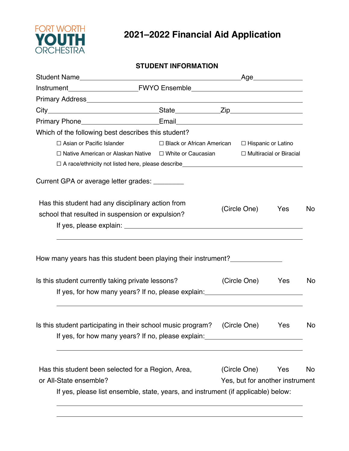

# **2021–2022 Financial Aid Application**

## **STUDENT INFORMATION**

| Which of the following best describes this student?                                                                                              |                             |                                 |                           |           |
|--------------------------------------------------------------------------------------------------------------------------------------------------|-----------------------------|---------------------------------|---------------------------|-----------|
| $\Box$ Asian or Pacific Islander                                                                                                                 | □ Black or African American |                                 | □ Hispanic or Latino      |           |
| $\Box$ Native American or Alaskan Native $\Box$ White or Caucasian                                                                               |                             |                                 | □ Multiracial or Biracial |           |
|                                                                                                                                                  |                             |                                 |                           |           |
| Current GPA or average letter grades: _________                                                                                                  |                             |                                 |                           |           |
| Has this student had any disciplinary action from<br>school that resulted in suspension or expulsion?                                            |                             | (Circle One)                    | Yes                       | No        |
| How many years has this student been playing their instrument?                                                                                   |                             |                                 |                           |           |
| Is this student currently taking private lessons?                                                                                                |                             | (Circle One) Yes                |                           | <b>No</b> |
| If yes, for how many years? If no, please explain: _____________________________                                                                 |                             |                                 |                           |           |
| Is this student participating in their school music program?<br>If yes, for how many years? If no, please explain: _____________________________ |                             | (Circle One)                    | Yes                       | No        |
| Has this student been selected for a Region, Area,                                                                                               |                             | (Circle One)                    | Yes                       | No        |
| or All-State ensemble?                                                                                                                           |                             | Yes, but for another instrument |                           |           |
| If yes, please list ensemble, state, years, and instrument (if applicable) below:                                                                |                             |                                 |                           |           |
|                                                                                                                                                  |                             |                                 |                           |           |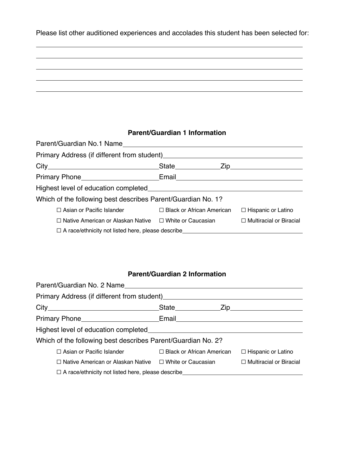Please list other auditioned experiences and accolades this student has been selected for:

# **Parent/Guardian 1 Information**

| Primary Address (if different from student)<br>The manufactured and the manufactured and the manufactured and the manufactured and the manufactured and the m |  |  |                           |  |  |  |
|---------------------------------------------------------------------------------------------------------------------------------------------------------------|--|--|---------------------------|--|--|--|
|                                                                                                                                                               |  |  |                           |  |  |  |
|                                                                                                                                                               |  |  |                           |  |  |  |
|                                                                                                                                                               |  |  |                           |  |  |  |
| Which of the following best describes Parent/Guardian No. 1?                                                                                                  |  |  |                           |  |  |  |
| □ Asian or Pacific Islander □ Black or African American                                                                                                       |  |  | $\Box$ Hispanic or Latino |  |  |  |
| $\Box$ Native American or Alaskan Native $\Box$ White or Caucasian $\Box$ Multiracial or Biracial                                                             |  |  |                           |  |  |  |
|                                                                                                                                                               |  |  |                           |  |  |  |

# **Parent/Guardian 2 Information**

| Primary Address (if different from student)<br><u>Example 2008</u>                                |  |  |                           |  |  |
|---------------------------------------------------------------------------------------------------|--|--|---------------------------|--|--|
|                                                                                                   |  |  |                           |  |  |
| Primary Phone______________________________Email________________________________                  |  |  |                           |  |  |
|                                                                                                   |  |  |                           |  |  |
| Which of the following best describes Parent/Guardian No. 2?                                      |  |  |                           |  |  |
| $\Box$ Asian or Pacific Islander $\Box$ Black or African American                                 |  |  | $\Box$ Hispanic or Latino |  |  |
| $\Box$ Native American or Alaskan Native $\Box$ White or Caucasian $\Box$ Multiracial or Biracial |  |  |                           |  |  |
| $\Box$ A race/ethnicity not listed here, please describe                                          |  |  |                           |  |  |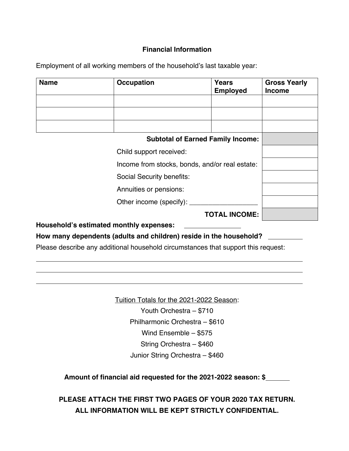### **Financial Information**

Employment of all working members of the household's last taxable year:

| <b>Name</b> | <b>Occupation</b>                       | <b>Years</b><br><b>Employed</b>                | <b>Gross Yearly</b><br><b>Income</b> |  |
|-------------|-----------------------------------------|------------------------------------------------|--------------------------------------|--|
|             |                                         |                                                |                                      |  |
|             |                                         |                                                |                                      |  |
|             |                                         |                                                |                                      |  |
|             |                                         | <b>Subtotal of Earned Family Income:</b>       |                                      |  |
|             | Child support received:                 |                                                |                                      |  |
|             |                                         | Income from stocks, bonds, and/or real estate: |                                      |  |
|             | Social Security benefits:               |                                                |                                      |  |
|             | Annuities or pensions:                  |                                                |                                      |  |
|             | Other income (specify):                 |                                                |                                      |  |
|             |                                         | <b>TOTAL INCOME:</b>                           |                                      |  |
|             | Household's estimated monthly expenses: |                                                |                                      |  |

**How many dependents (adults and children) reside in the household?** 

Please describe any additional household circumstances that support this request:

Tuition Totals for the 2021-2022 Season: Youth Orchestra – \$710 Philharmonic Orchestra – \$610 Wind Ensemble – \$575 String Orchestra – \$460 Junior String Orchestra – \$460

### **Amount of financial aid requested for the 2021-2022 season: \$**

**PLEASE ATTACH THE FIRST TWO PAGES OF YOUR 2020 TAX RETURN. ALL INFORMATION WILL BE KEPT STRICTLY CONFIDENTIAL.**